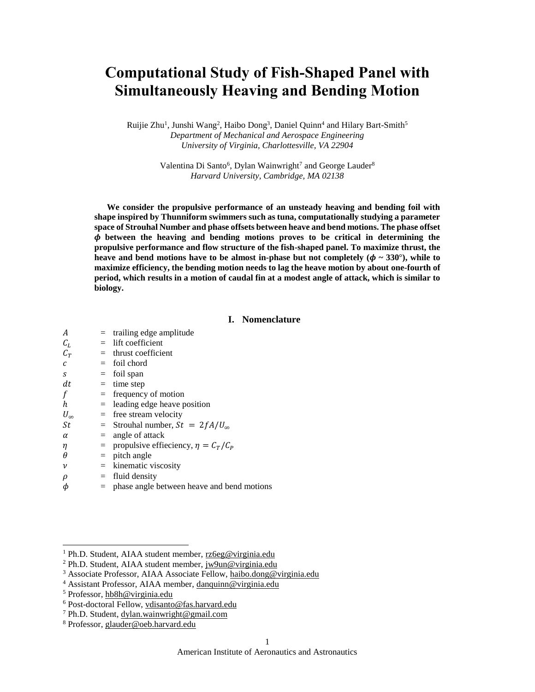# **Computational Study of Fish-Shaped Panel with Simultaneously Heaving and Bending Motion**

Ruijie Zhu<sup>1</sup>, Junshi Wang<sup>2</sup>, Haibo Dong<sup>3</sup>, Daniel Quinn<sup>4</sup> and Hilary Bart-Smith<sup>5</sup> *Department of Mechanical and Aerospace Engineering University of Virginia, Charlottesville, VA 22904*

> Valentina Di Santo<sup>6</sup>, Dylan Wainwright<sup>7</sup> and George Lauder<sup>8</sup> *Harvard University, Cambridge, MA 02138*

**We consider the propulsive performance of an unsteady heaving and bending foil with shape inspired by Thunniform swimmers such as tuna, computationally studying a parameter space of Strouhal Number and phase offsets between heave and bend motions. The phase offset between the heaving and bending motions proves to be critical in determining the propulsive performance and flow structure of the fish-shaped panel. To maximize thrust, the**  heave and bend motions have to be almost in-phase but not completely  $(\phi \sim 330^{\circ})$ , while to **maximize efficiency, the bending motion needs to lag the heave motion by about one-fourth of period, which results in a motion of caudal fin at a modest angle of attack, which is similar to biology.**

# **I. Nomenclature**

| A                |     | $=$ trailing edge amplitude                    |
|------------------|-----|------------------------------------------------|
| $C_L$            |     | $=$ lift coefficient                           |
| $C_T$            |     | $=$ thrust coefficient                         |
| с                |     | $=$ foil chord                                 |
| S                |     | $=$ foil span                                  |
| dt               |     | $=$ time step                                  |
| f                |     | $=$ frequency of motion                        |
| $\boldsymbol{h}$ |     | $=$ leading edge heave position                |
| $U_{\infty}$     |     | $=$ free stream velocity                       |
| St               |     | = Strouhal number, $St = 2fA/U_{\infty}$       |
| α                |     | $=$ angle of attack                            |
| η                |     | = propulsive effieciency, $\eta = C_T/C_P$     |
| θ                |     | $=$ pitch angle                                |
| ν                |     | $=$ kinematic viscosity                        |
| ρ                | $=$ | fluid density                                  |
| φ                |     | $=$ phase angle between heave and bend motions |

 $\overline{a}$ 

<sup>1</sup> Ph.D. Student, AIAA student member, [rz6eg@virginia.edu](mailto:rz6eg@virginia.edu)

<sup>2</sup> Ph.D. Student, AIAA student member, [jw9un@virginia.edu](mailto:jw9un@virginia.edu)

<sup>3</sup> Associate Professor, AIAA Associate Fellow, [haibo.dong@virginia.edu](mailto:haibo.dong@virginia.edu)

<sup>4</sup> Assistant Professor, AIAA member, [danquinn@virginia.edu](mailto:%E2%80%8Bdanquinn@virginia.edu)

<sup>5</sup> Professor[, hb8h@virginia.edu](mailto:hb8h@virginia.edu)

<sup>6</sup> Post-doctoral Fellow, [vdisanto@fas.harvard.edu](mailto:rz6eg@virginia.edu)

<sup>7</sup> Ph.D. Student, dylan.wainwright@gmail.com

<sup>8</sup> Professor[, glauder@oeb.harvard.edu](mailto:glauder@oeb.harvard.edu)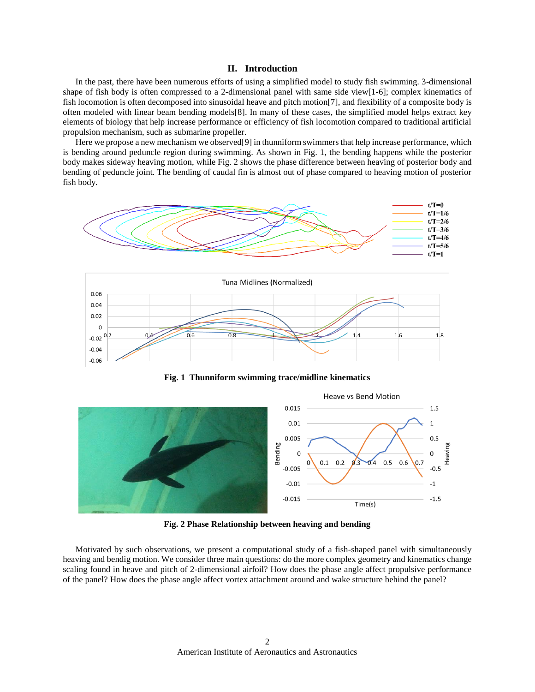## **II. Introduction**

In the past, there have been numerous efforts of using a simplified model to study fish swimming. 3-dimensional shape of fish body is often compressed to a 2-dimensional panel with same side view[1-6]; complex kinematics of fish locomotion is often decomposed into sinusoidal heave and pitch motion[7], and flexibility of a composite body is often modeled with linear beam bending models[8]. In many of these cases, the simplified model helps extract key elements of biology that help increase performance or efficiency of fish locomotion compared to traditional artificial propulsion mechanism, such as submarine propeller.

Here we propose a new mechanism we observed [9] in thunniform swimmers that help increase performance, which is bending around peduncle region during swimming. As shown in Fig. 1, the bending happens while the posterior body makes sideway heaving motion, while Fig. 2 shows the phase difference between heaving of posterior body and bending of peduncle joint. The bending of caudal fin is almost out of phase compared to heaving motion of posterior fish body.



**Fig. 1 Thunniform swimming trace/midline kinematics**



**Fig. 2 Phase Relationship between heaving and bending**

Motivated by such observations, we present a computational study of a fish-shaped panel with simultaneously heaving and bendig motion. We consider three main questions: do the more complex geometry and kinematics change scaling found in heave and pitch of 2-dimensional airfoil? How does the phase angle affect propulsive performance of the panel? How does the phase angle affect vortex attachment around and wake structure behind the panel?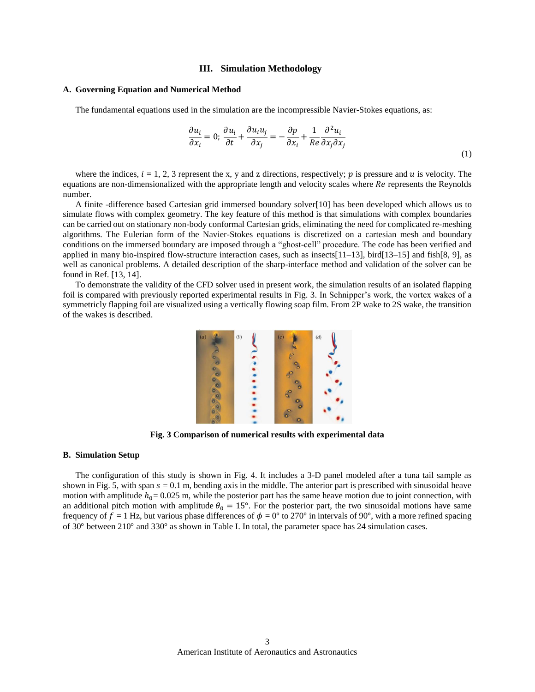### **III. Simulation Methodology**

#### **A. Governing Equation and Numerical Method**

The fundamental equations used in the simulation are the incompressible Navier-Stokes equations, as:

$$
\frac{\partial u_i}{\partial x_i} = 0; \frac{\partial u_i}{\partial t} + \frac{\partial u_i u_j}{\partial x_j} = -\frac{\partial p}{\partial x_i} + \frac{1}{Re} \frac{\partial^2 u_i}{\partial x_j \partial x_j}
$$
\n(1)

where the indices,  $i = 1, 2, 3$  represent the x, y and z directions, respectively; p is pressure and u is velocity. The equations are non-dimensionalized with the appropriate length and velocity scales where Re represents the Reynolds number.

A finite -difference based Cartesian grid immersed boundary solver[10] has been developed which allows us to simulate flows with complex geometry. The key feature of this method is that simulations with complex boundaries can be carried out on stationary non-body conformal Cartesian grids, eliminating the need for complicated re-meshing algorithms. The Eulerian form of the Navier-Stokes equations is discretized on a cartesian mesh and boundary conditions on the immersed boundary are imposed through a "ghost-cell" procedure. The code has been verified and applied in many bio-inspired flow-structure interaction cases, such as insects[11–13], bird[13–15] and fish[8, 9], as well as canonical problems. A detailed description of the sharp-interface method and validation of the solver can be found in Ref. [13, 14].

To demonstrate the validity of the CFD solver used in present work, the simulation results of an isolated flapping foil is compared with previously reported experimental results in Fig. 3. In Schnipper's work, the vortex wakes of a symmetricly flapping foil are visualized using a vertically flowing soap film. From 2P wake to 2S wake, the transition of the wakes is described.



**Fig. 3 Comparison of numerical results with experimental data**

## **B. Simulation Setup**

The configuration of this study is shown in Fig. 4. It includes a 3-D panel modeled after a tuna tail sample as shown in Fig. 5, with span  $s = 0.1$  m, bending axis in the middle. The anterior part is prescribed with sinusoidal heave motion with amplitude  $h_0 = 0.025$  m, while the posterior part has the same heave motion due to joint connection, with an additional pitch motion with amplitude  $\theta_0 = 15^\circ$ . For the posterior part, the two sinusoidal motions have same frequency of  $f = 1$  Hz, but various phase differences of  $\phi = 0^{\circ}$  to 270° in intervals of 90°, with a more refined spacing of 30° between 210° and 330° as shown in Table I. In total, the parameter space has 24 simulation cases.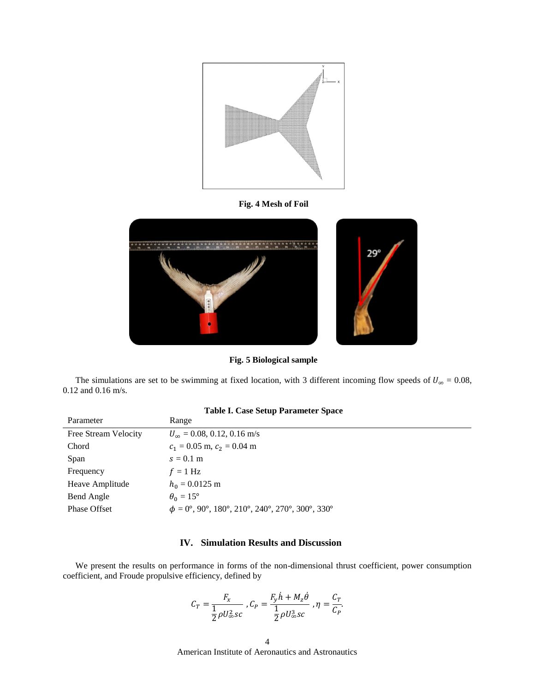

**Fig. 4 Mesh of Foil**



**Fig. 5 Biological sample**

The simulations are set to be swimming at fixed location, with 3 different incoming flow speeds of  $U_{\infty} = 0.08$ , 0.12 and 0.16 m/s.

| Parameter            | Range                                                      |
|----------------------|------------------------------------------------------------|
| Free Stream Velocity | $U_{\infty}$ = 0.08, 0.12, 0.16 m/s                        |
| Chord                | $c_1 = 0.05$ m, $c_2 = 0.04$ m                             |
| Span                 | $s = 0.1$ m                                                |
| Frequency            | $f = 1$ Hz                                                 |
| Heave Amplitude      | $h_0 = 0.0125$ m                                           |
| Bend Angle           | $\theta_0 = 15^\circ$                                      |
| <b>Phase Offset</b>  | $\phi = 0^\circ$ , 90°, 180°, 210°, 240°, 270°, 300°, 330° |
|                      |                                                            |

# **Table I. Case Setup Parameter Space**

# **IV. Simulation Results and Discussion**

We present the results on performance in forms of the non-dimensional thrust coefficient, power consumption coefficient, and Froude propulsive efficiency, defined by

$$
C_T = \frac{F_x}{\frac{1}{2}\rho U_\infty^2 sc}, C_P = \frac{F_y \dot{h} + M_z \dot{\theta}}{\frac{1}{2}\rho U_\infty^3 sc}, \eta = \frac{C_T}{C_P}.
$$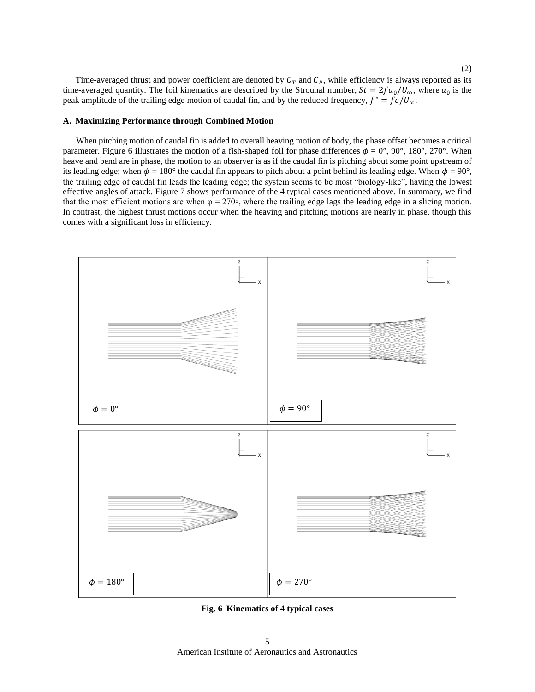Time-averaged thrust and power coefficient are denoted by  $\overline{C}_T$  and  $\overline{C}_P$ , while efficiency is always reported as its time-averaged quantity. The foil kinematics are described by the Strouhal number,  $St = 2fa_0/U_\infty$ , where  $a_0$  is the peak amplitude of the trailing edge motion of caudal fin, and by the reduced frequency,  $f^* = fc/U_{\infty}$ .

### **A. Maximizing Performance through Combined Motion**

 When pitching motion of caudal fin is added to overall heaving motion of body, the phase offset becomes a critical parameter. Figure 6 illustrates the motion of a fish-shaped foil for phase differences  $\phi = 0^{\circ}$ ,  $90^{\circ}$ ,  $180^{\circ}$ ,  $270^{\circ}$ . When heave and bend are in phase, the motion to an observer is as if the caudal fin is pitching about some point upstream of its leading edge; when  $\phi = 180^\circ$  the caudal fin appears to pitch about a point behind its leading edge. When  $\phi = 90^\circ$ , the trailing edge of caudal fin leads the leading edge; the system seems to be most "biology-like", having the lowest effective angles of attack. Figure 7 shows performance of the 4 typical cases mentioned above. In summary, we find that the most efficient motions are when  $\varphi = 270$ °, where the trailing edge lags the leading edge in a slicing motion. In contrast, the highest thrust motions occur when the heaving and pitching motions are nearly in phase, though this comes with a significant loss in efficiency.



**Fig. 6 Kinematics of 4 typical cases**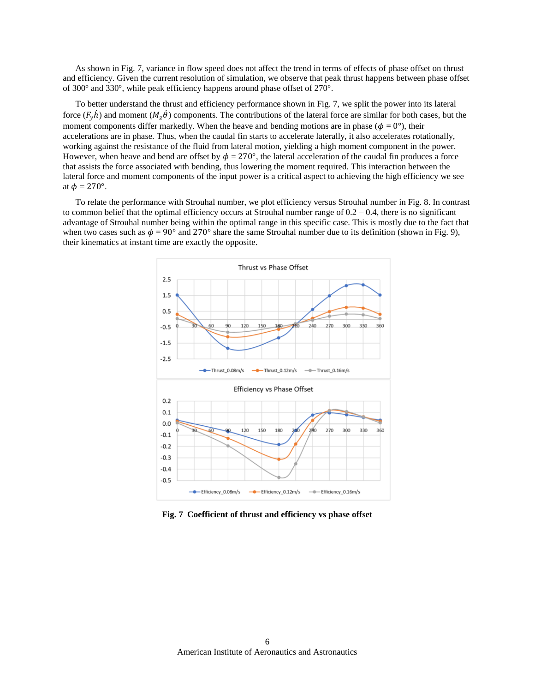As shown in Fig. 7, variance in flow speed does not affect the trend in terms of effects of phase offset on thrust and efficiency. Given the current resolution of simulation, we observe that peak thrust happens between phase offset of 300° and 330°, while peak efficiency happens around phase offset of 270°.

To better understand the thrust and efficiency performance shown in Fig. 7, we split the power into its lateral force  $(F_v h)$  and moment  $(M_z \theta)$  components. The contributions of the lateral force are similar for both cases, but the moment components differ markedly. When the heave and bending motions are in phase ( $\phi = 0^{\circ}$ ), their accelerations are in phase. Thus, when the caudal fin starts to accelerate laterally, it also accelerates rotationally, working against the resistance of the fluid from lateral motion, yielding a high moment component in the power. However, when heave and bend are offset by  $\phi = 270^{\circ}$ , the lateral acceleration of the caudal fin produces a force that assists the force associated with bending, thus lowering the moment required. This interaction between the lateral force and moment components of the input power is a critical aspect to achieving the high efficiency we see at  $\phi = 270^\circ$ .

To relate the performance with Strouhal number, we plot efficiency versus Strouhal number in Fig. 8. In contrast to common belief that the optimal efficiency occurs at Strouhal number range of  $0.2 - 0.4$ , there is no significant advantage of Strouhal number being within the optimal range in this specific case. This is mostly due to the fact that when two cases such as  $\phi = 90^{\circ}$  and 270° share the same Strouhal number due to its definition (shown in Fig. 9), their kinematics at instant time are exactly the opposite.



**Fig. 7 Coefficient of thrust and efficiency vs phase offset**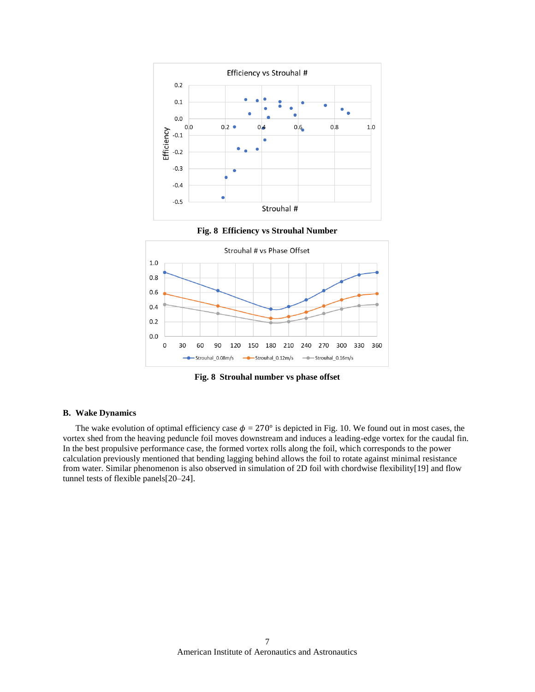

**Fig. 8 Strouhal number vs phase offset**

# **B. Wake Dynamics**

The wake evolution of optimal efficiency case  $\phi = 270^{\circ}$  is depicted in Fig. 10. We found out in most cases, the vortex shed from the heaving peduncle foil moves downstream and induces a leading-edge vortex for the caudal fin. In the best propulsive performance case, the formed vortex rolls along the foil, which corresponds to the power calculation previously mentioned that bending lagging behind allows the foil to rotate against minimal resistance from water. Similar phenomenon is also observed in simulation of 2D foil with chordwise flexibility[19] and flow tunnel tests of flexible panels[20–24].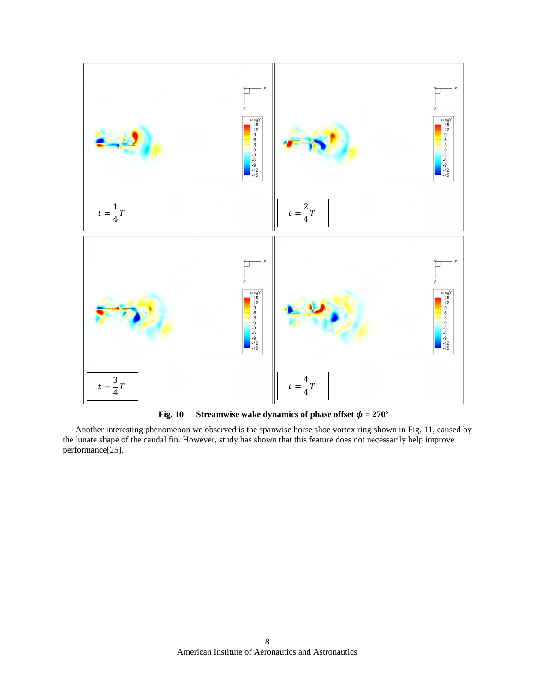

**Fig. 10** Streamwise wake dynamics of phase offset  $\phi = 270^\circ$ 

Another interesting phenomenon we observed is the spanwise horse shoe vortex ring shown in Fig. 11, caused by the lunate shape of the caudal fin. However, study has shown that this feature does not necessarily help improve performance[25].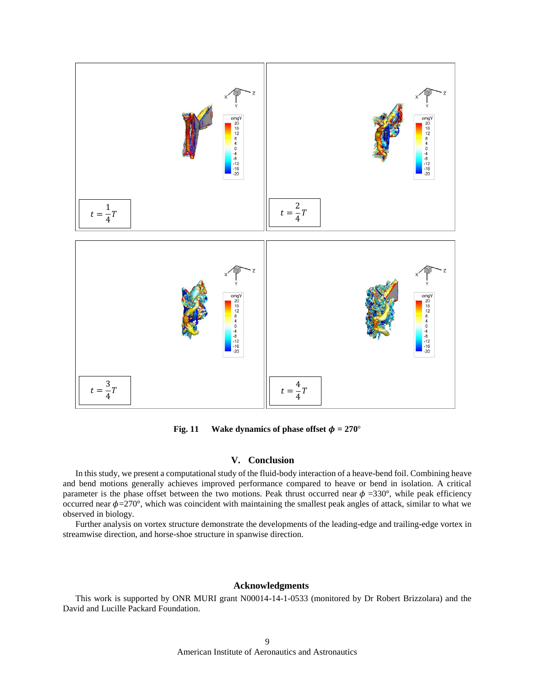

**Fig. 11 Wake dynamics of phase offset**  $\phi = 270^\circ$ 

## **V. Conclusion**

In this study, we present a computational study of the fluid-body interaction of a heave-bend foil. Combining heave and bend motions generally achieves improved performance compared to heave or bend in isolation. A critical parameter is the phase offset between the two motions. Peak thrust occurred near  $\phi = 330^{\circ}$ , while peak efficiency occurred near  $\phi$ =270°, which was coincident with maintaining the smallest peak angles of attack, similar to what we observed in biology.

Further analysis on vortex structure demonstrate the developments of the leading-edge and trailing-edge vortex in streamwise direction, and horse-shoe structure in spanwise direction.

## **Acknowledgments**

This work is supported by ONR MURI grant N00014-14-1-0533 (monitored by Dr Robert Brizzolara) and the David and Lucille Packard Foundation.